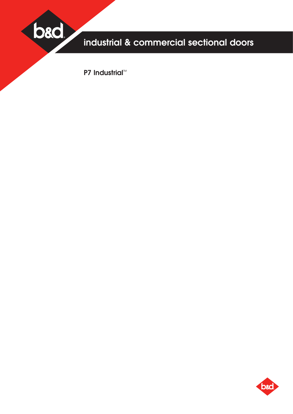

# industrial & commercial sectional doors

P7 Industrial<sup>™</sup>

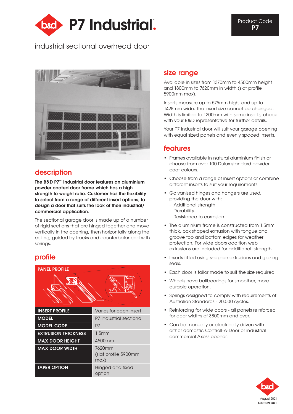<span id="page-1-0"></span>

# industrial sectional overhead door



# description

The B&D P7™ Industrial door features an aluminium powder coated door frame which has a high strength to weight ratio. Customer has the flexibility to select from a range of different insert options, to design a door that suits the look of their industrial/ commercial application.

The sectional garage door is made up of a number of rigid sections that are hinged together and move vertically in the opening, then horizontally along the ceiling, guided by tracks and counterbalanced with springs.

### profile



### size range

Available in sizes from 1370mm to 4500mm height and 1800mm to 7620mm in width (slat profile 5900mm max).

Inserts measure up to 575mm high, and up to 1428mm wide. The insert size cannot be changed. Width is limited to 1200mm with some inserts, check with your B&D representative for further details.

Your P7 Industrial door will suit your garage opening with equal sized panels and evenly spaced inserts.

### features

- Frames available in natural aluminium finish or choose from over 100 Dulux standard powder coat colours.
- Choose from a range of insert options or combine different inserts to suit your requirements.
- Galvanised hinges and hangers are used, providing the door with:
	- Additional strength. - Durability.
	- Resistance to corrosion.
- The aluminium frame is constructed from 1.5mm thick, box shaped extrusion with tongue and groove top and bottom edges for weather protection. For wide doors addition web extrusions are included for additional strength.
- Inserts fitted using snap-on extrusions and glazing seals.
- Each door is tailor made to suit the size required.
- Wheels have ballbearings for smoother, more durable operation.
- Springs designed to comply with requirements of Australian Standards - 20,000 cycles.
- Reinforcing for wide doors all panels reinforced for door widths of 3800mm and over.
- Can be manually or electrically driven with either domestic Controll-A-Door or industrial commercial Axess opener.

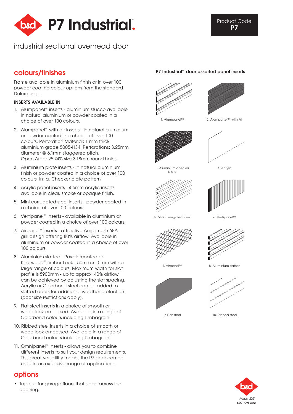

# industrial sectional overhead door

Frame available in aluminium finish or in over 100 powder coating colour options from the standard Dulux range.

### Inserts available in

- 1. Alumpanel™ inserts aluminium stucco available in natural aluminium or powder coated in a choice of over 100 colours.
- 2. Alumpanel™ with air inserts in natural aluminium or powder coated in a choice of over 100 colours. Perforation Material: 1 mm thick aluminium grade 5005-H34. Perforations: 3.25mm diameter @ 6.1mm staggered pitch. Open Area: 25.74%.size 3.18mm round holes.
- 3. Aluminium plate inserts in natural aluminium finish or powder coated in a choice of over 100 colours, in: a. Checker plate pattern
- 4. Acrylic panel inserts 4.5mm acrylic inserts available in clear, smoke or opaque finish.
- 5. Mini corrugated steel inserts powder coated in a choice of over 100 colours.
- 6. Vertipanel™ inserts available in aluminium or powder coated in a choice of over 100 colours.
- 7. Airpanel™ inserts attractive Amplimesh 68A grill design offering 80% airflow. Available in aluminium or powder coated in a choice of over 100 colours.
- 8. Aluminium slatted Powdercoated or Knotwood™ Timber Look - 50mm x 10mm with a large range of colours. Maximum width for slat profile is 5900mm - up to approx. 40% airflow can be achieved by adjusting the slat spacing. Acrylic or Colorbond steel can be added to slatted doors for additional weather protection (door size restrictions apply).
- 9. Flat steel inserts in a choice of smooth or wood look embossed. Available in a range of Colorbond colours including Timbagrain.
- 10. Ribbed steel inserts in a choice of smooth or wood look embossed. Available in a range of Colorbond colours including Timbagrain.
- 11. Omnipanel™ inserts allows you to combine different inserts to suit your design requirements. This great versatility means the P7 door can be used in an extensive range of applications.

# options

• Tapers - for garage floors that slope across the opening.

### P7 Industrial™ colours/finishes door assorted panel inserts





1. Alumpanel™ 2. Alumpanel™ with Air











6. Vertipanel™

5. Mini corrugated steel





7. Airpanel™

8. Aluminium slatted